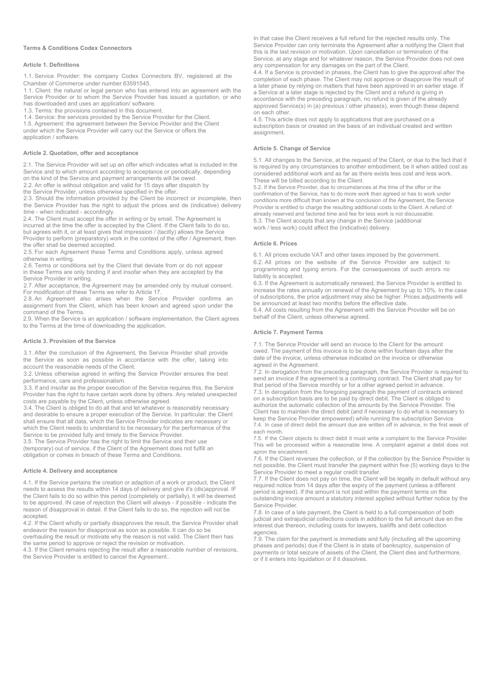#### **Terms & Conditions Codex Connectors**

### **Article 1. Definitions**

1.1. Service Provider: the company Codex Connectors BV, registered at the Chamber of Commerce under number 63591545.

1.1. Client: the natural or legal person who has entered into an agreement with the Service Provider or to whom the Service Provider has issued a quotation, or who has downloaded and uses an application/ software.

1.3. Terms: the provisions contained in this document.

1.4. Service: the services provided by the Service Provider for the Client.

1.5. Agreement: the agreement between the Service Provider and the Client under which the Service Provider will carry out the Service or offers the application / software.

### **Article 2. Quotation, offer and acceptance**

2.1. The Service Provider will set up an offer which indicates what is included in the Service and to which amount according to acceptance or periodically, depending on the kind of the Service and payment arrangements will be owed.

2.2. An offer is without obligation and valid for 15 days after dispatch by

the Service Provider, unless otherwise specified in the offer.

2.3. Should the information provided by the Client be incorrect or incomplete, then the Service Provider has the right to adjust the prices and de (indicative) delivery time - when indicated - accordingly.

2.4. The Client must accept the offer in writing or by email. The Agreement is incurred at the time the offer is accepted by the Client. If the Client fails to do so, but agrees with it, or at least gives that impression / (tacitly) allows the Service Provider to perform (preparatory) work in the context of the offer / Agreement, then the offer shall be deemed accepted.

2.5. For each Agreement these Terms and Conditions apply, unless agreed otherwise in writing.

2.6. Terms or conditions set by the Client that deviate from or do not appear in these Terms are only binding if and insofar when they are accepted by the Service Provider in writing.

2.7. After acceptance, the Agreement may be amended only by mutual consent. For modification of these Terms we refer to Article 17.

2.8. An Agreement also arises when the Service Provider confirms an EBITAT TRISCHIGHT and and agreed upon under the assignment from the Client, which has been known and agreed upon under the command of the Terms.

2.9. When the Service is an application / software implementation, the Client agrees to the Terms at the time of downloading the application.

## **Article 3. Provision of the Service**

3.1. After the conclusion of the Agreement, the Service Provider shall provide the Service as soon as possible in accordance with the offer, taking into account the reasonable needs of the Client.

3.2. Unless otherwise agreed in writing the Service Provider ensures the best performance, care and professionalism.

3.3. If and insofar as the proper execution of the Service requires this, the Service Provider has the right to have certain work done by others. Any related unexpected costs are payable by the Client, unless otherwise agreed.

3.4. The Client is obliged to do all that and let whatever is reasonably necessary and desirable to ensure a proper execution of the Service. In particular, the Client shall ensure that all data, which the Service Provider indicates are necessary or which the Client needs to understand to be necessary for the performance of the Service to be provided fully and timely to the Service Provider.

3.5. The Service Provider has the right to limit the Service and their use (temporary) out of service, if the Client of the Agreement does not fulfill an obligation or comes in breach of these Terms and Conditions.

#### **Article 4. Delivery and acceptance**

4.1. If the Service pertains the creation or adaption of a work or product, the Client needs to assess the results within 14 days of delivery and give it's (dis)approval. IF the Client fails to do so within this period (completely or partially), it will be deemed to be approved. IN case of rejection the Client will always - if possible - indicate the reason of disapproval in detail. If the Client fails to do so, the rejection will not be accepted.

4.2. If the Client wholly or partially disapproves the result, the Service Provider shall endeavor the reason for disapproval as soon as possible. It can do so be overhauling the result or motivate why the reason is not valid. The Client then has

the same period to approve or reject the revision or motivation.

4.3. If the Client remains rejecting the result after a reasonable number of revisions, the Service Provider is entitled to cancel the Agreement..

In that case the Client receives a full refund for the rejected results only. The Service Provider can only terminate the Agreement after a notifying the Client that this is the last revision or motivation. Upon cancellation or termination of the Service, at any stage and for whatever reason, the Service Provider does not owe any compensation for any damages on the part of the Client.

4.4. If a Service is provided in phases, the Client has to give the approval after the completion of each phase. The Client may not approve or disapprove the result of a later phase by relying on matters that have been approved in an earlier stage. If a Service at a later stage is rejected by the Client and a refund is giving in accordance with the preceding paragraph, no refund is given of the already approved Service(s) in (a) previous / other phase(s), even though these depend on each other.

4.5. This article does not apply to applications that are purchased on a subscription basis or created on the basis of an individual created and written assignment.

#### **Article 5. Change of Service**

5.1. All changes to the Service, at the request of the Client, or due to the fact that it is required by any circumstances to another embodiment, be it when added cost as considered additional work and as far as there exists less cost and less work. These will be billed according to the Client.

5.2. If the Service Provider, due to circumstances at the time of the offer or the confirmation of the Service, has to do more work than agreed or has to work under conditions more difficult than known at the conclusion of the Agreement, the Service Provider is entitled to charge the resulting additional costs to the Client. A refund of already reserved and factored time and fee for less work is not discussable. 5.3. The Client accepts that any change in the Service (additional work / less work) could affect the (indicative) delivery.

### **Article 6. Prices**

6.1. All prices exclude VAT and other taxes imposed by the government. 6.2. All prices on the website of the Service Provider are subject to programming and typing errors. For the consequences of such errors no liability is accepted.

6.3. If the Agreement is automatically renewed, the Service Provider is entitled to increase the rates annually on renewal of the Agreement by up to 10%. In the case of subscriptions, the price adjustment may also be higher. Prices adjustments will be announced at least two months before the effective date.

6.4. All costs resulting from the Agreement with the Service Provider will be on behalf of the Client, unless otherwise agreed.

### **Article 7. Payment Terms**

7.1. The Service Provider will send an invoice to the Client for the amount owed. The payment of this invoice is to be done within fourteen days after the date of the invoice, unless otherwise indicated on the invoice or otherwise agreed in the Agreement.

7.2. In derogation from the preceding paragraph, the Service Provider is required to send an invoice if the agreement is a continuing contract. The Client shall pay for that period of the Service monthly or for a other agreed period in advance.

7.3. In derogation from the foregoing paragraph the payment of contracts entered on a subscription basis are to be paid by direct debit. The Client is obliged to authorize the automatic collection of the amounts by the Service Provider. The Client has to maintain the direct debit (and if necessary to do what is necessary to keep the Service Provider empowered) while running the subscription Service. 7.4. In case of direct debit the amount due are written off in advance, in the first week of each month.

7.5. If the Client objects to direct debit it must write a complaint to the Service Provider. This will be processed within a reasonable time. A complaint against a debit does not apron the encashment.

7.6. If the Client reverses the collection, or if the collection by the Service Provider is not possible, the Client must transfer the payment within five (5) working days to the Service Provider to meet a regular credit transfer.

7.7. If the Client does not pay on time, the Client will be legally in default without any required notice from 14 days after the expiry of the payment (unless a different period is agreed). If the amount is not paid within the payment terms on the outstanding invoice amount a statutory interest applied without further notice by the Service Provider.

7.8. In case of a late payment, the Client is held to a full compensation of both judicial and extrajudicial collections costs in addition to the full amount due en the interest due thereon, including costs for lawyers, bailiffs and debt collection agencies.

7.9. The claim for the payment is immediate and fully (including all the upcoming phases and periods) due if the Client is in state of bankruptcy, suspension of payments or total seizure of assets of the Client, the Client dies and furthermore, or if it enters into liquidation or if it dissolves.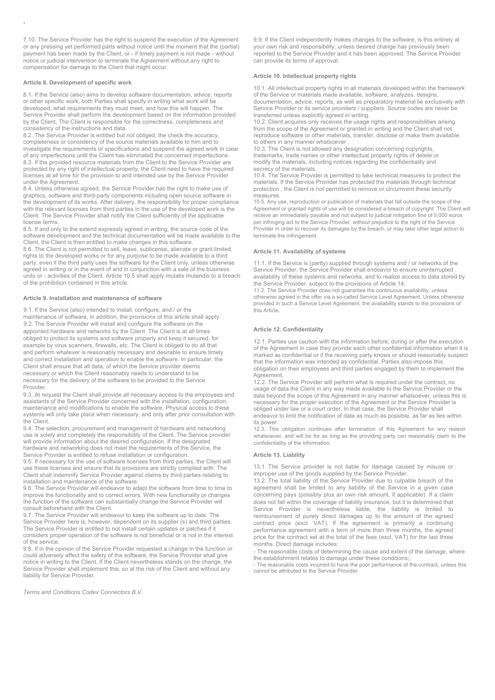7.10. The Service Provider has the right to suspend the execution of the Agreement or any pressing yet performed parts without notice until the moment that the (partial) payment has been made by the Client, or - if timely payment is not made - without notice or judicial intervention to terminate the Agreement without any right to compensation for damage to the Client that might occur.

# **Article 8. Development of specific work**

.

8.1. If the Service (also) aims to develop software documentation, advice, reports or other specific work, both Parties shall specify in writing what work will be developed, what requirements they must meet, and how this will happen. The Service Provider shall perform the development based on the information provided by the Client, The Client is responsible for the correctness, completeness and consistency of the instructions and data.

8.2. The Service Provider is entitled but not obliged, the check the accuracy, completeness or consistency of the source materials available to him and to investigate the requirements or specifications and suspend the agreed work in case of any imperfections until the Client has eliminated the concerned imperfections. 8.3. If the provided resource materials from the Client to the Service Provider are protected by any right of intellectual property, the Client need to have the required licenses at all time for the provision to and intended use by the Service Provider under the Agreement.

8.4. Unless otherwise agreed, the Service Provider has the right to make use of graphics, software and third-party components including open source software in the development of its works. After delivery, the responsibility for proper compliance with the relevant licenses from third parties in the use of the developed work is the Client. The Service Provider shall notify the Client sufficiently of the applicable license terms.

8.5. If and only to the extend expressly agreed in writing, the source code of the software development and the technical documentation will be made available to the Client, the Client is then entitled to make changes in this software.

8.6. The Client is not permitted to sell, lease, sublicense, alienate or grant limited rights to the developed works or for any purpose to be made available to a third party, even if the third party uses the software for the Client only, unless otherwise agreed in writing or in the event of and in conjunction with a sale of the business units or - activities of the Client. Article 10.5 shall apply mutatis mutandis to a breach of the prohibition contained in this article.

### **Article 9. Installation and maintenance of software**

9.1. If the Service (also) intended to install, configure, and / or the maintenance of software, in addition, the provisions of this article shall apply. 9.2. The Service Provider will install and configure the software on the appointed hardware and networks by the Client. The Client is at all times obliged to protect its systems and software properly and keep it secured, for example by virus scanners, firewalls, etc. The Client is obliged to do all that and perform whatever is reasonably necessary and desirable to ensure timely and correct installation and operation to enable the software. In particular, the Client shall ensure that all data, of which the Service provider deems necessary or which the Client reasonably needs to understand to be necessary for the delivery of the software to be provided to the Service Provider.

9.3. At request the Client shall provide all necessary access to the employees and assistants of the Service Provider concerned with the installation, configuration, maintenance and modifications to enable the software. Physical access to these systems will only take place when necessary, and only after prior consultation with the Client.

9.4. The selection, procurement and management of hardware and networking use is solely and completely the responsibility of the Client. The Service provider will provide information about the desired configuration. If the designated hardware and networking does not meet the requirements of the Service, the Service Provider is entitled to refuse installation or configuration.

9.5. If necessary for the use of software licenses from third parties, the Client will use these licenses and ensure that its provisions are strictly complied with. The Client shall indemnify Service Provider against claims by third parties relating to installation and maintenance of the software.

9.6. The Service Provider will endeavor to adapt the software from time to time to improve the functionality and to correct errors. With new functionality or changes the function of the software can substantially change the Service Provider will consult beforehand with the Client.

9.7. The Service Provider will endeavor to keep the software up to date. The Service Provider here is, however, dependent on its supplier (s) and third parties. The Service Provider is entitled to not install certain updates or patches if it considers proper operation of the software is not beneficial or is not in the interest of the service.

9.8. If in the opinion of the Service Provider requested a change in the function or could adversely affect the safety of the software, the Service Provider shall give notice in writing to the Client. If the Client nevertheless stands on the change, the Service Provider shall implement this, so at the risk of the Client and without any liability for Service Provider.

*Terms and Conditions Codex Connectors B.V.*

9.9. If the Client independently makes changes to the software, is this entirely at your own risk and responsibility, unless desired change has previously been reported to the Service Provider and it has been approved. The Service Provider can provide its terms of approval.

### **Article 10. Intellectual property rights**

10.1. All intellectual property rights in all materials developed within the framework of the Service or materials made available, software, analyzes, designs, documentation, advice, reports, as well as preparatory material lie exclusively with Service Provider or its service providers / suppliers. Source codes are never be transferred unless explicitly agreed in writing.

10.2. Client acquires only receives the usage rights and responsibilities arising from the scope of the Agreement or granted in writing and the Client shall not reproduce software or other materials, transfer, disclose or make them available to others in any manner whatsoever .

10.3. The Client is not allowed any designation concerning copyrights, trademarks, trade names or other intellectual property rights of delete or modify the materials, including notices regarding the confidentiality and secrecy of the materials.

10.4. The Service Provider is permitted to take technical measures to protect the materials. If the Service Provider has protected the materials through technical protection , the Client is not permitted to remove or circumvent these security measures.

10.5. Any use, reproduction or publication of materials that fall outside the scope of the Agreement or granted rights of use will be considered a breach of copyright. The Client will receive an immediately payable and not subject to judicial mitigation fine of 5,000 euros per infringing act to the Service Provider, without prejudice to the right of the Service Provider in order to recover its damages by the breach, or may take other legal action to terminate the infringement.

### **Article 11. Availability of systems**

11.1. If the Service is (partly) supplied through systems and / or networks of the Service Provider, the Service Provider shall endeavor to ensure uninterrupted availability of these systems and networks, and to realize access to data stored by the Service Provider, subject to the provisions of Article 14.

11.2. The Service Provider does not guarantee the continuous availability, unless otherwise agreed in the offer via a so-called Service Level Agreement. Unless otherwise provided in such a Service Level Agreement, the availability stands to the provisions of this Article.

### **Article 12. Confidentiality**

12.1. Parties use caution with the information before, during or after the execution of the Agreement in case they provide each other confidential information when it is marked as confidential or if the receiving party knows or should reasonably suspect that the information was intended as confidential. Parties also impose this obligation on their employees and third parties engaged by them to implement the Agreement.

12.2. The Service Provider will perform what is required under the contract, no usage of data the Client in any way made available to the Service Provider or the data beyond the scope of this Agreement in any manner whatsoever, unless this is necessary for the proper execution of the Agreement or the Service Provider is obliged under law or a court order. In that case, the Service Provider shall endeavor to limit the notification of data as much as possible, as far as lies within its power.

12.3. This obligation continues after termination of this Agreement for any reason whatsoever, and will be for as long as the providing party can reasonably claim to the confidentiality of the information.

### **Article 13. Liability**

13.1. The Service provider is not liable for damage caused by misuse or improper use of the goods supplied by the Service Provider.

13.2. The total liability of the Service Provider due to culpable breach of the agreement shall be limited to any liability of the Service in a given case concerning pays (possibly plus an own risk amount, if applicable). If a claim does not fall within the coverage of liability insurance, but it is determined that Service Provider is nevertheless liable, the liability is limited to reimbursement of purely direct damages up to the amount of the agreed contract price (excl. VAT). If the agreement is primarily a continuing performance agreement with a term of more than three months, the agreed price for the contract set at the total of the fees (excl. VAT) for the last three months. Direct damage includes:

- The reasonable costs of determining the cause and extent of the damage, where

the establishment relates to damage under these conditions;; - The reasonable costs incurred to have the poor performance of the contract, unless this cannot be attributed to the Service Provider